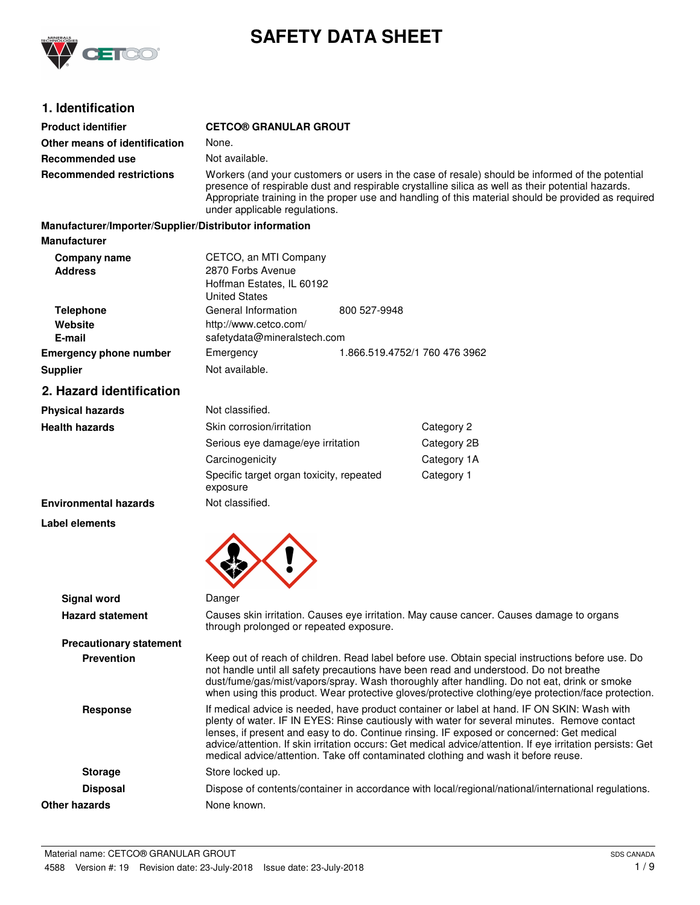

# **SAFETY DATA SHEET**

# **1. Identification**

| <b>Product identifier</b>                              | <b>CETCO® GRANULAR GROUT</b>                                                                                                                                                                                                                                                                                                                                                                                                                                                                 |                                                                                                     |             |  |
|--------------------------------------------------------|----------------------------------------------------------------------------------------------------------------------------------------------------------------------------------------------------------------------------------------------------------------------------------------------------------------------------------------------------------------------------------------------------------------------------------------------------------------------------------------------|-----------------------------------------------------------------------------------------------------|-------------|--|
| Other means of identification                          | None.                                                                                                                                                                                                                                                                                                                                                                                                                                                                                        |                                                                                                     |             |  |
| Recommended use                                        | Not available.                                                                                                                                                                                                                                                                                                                                                                                                                                                                               |                                                                                                     |             |  |
| <b>Recommended restrictions</b>                        | Workers (and your customers or users in the case of resale) should be informed of the potential<br>presence of respirable dust and respirable crystalline silica as well as their potential hazards.<br>Appropriate training in the proper use and handling of this material should be provided as required<br>under applicable regulations.                                                                                                                                                 |                                                                                                     |             |  |
| Manufacturer/Importer/Supplier/Distributor information |                                                                                                                                                                                                                                                                                                                                                                                                                                                                                              |                                                                                                     |             |  |
| <b>Manufacturer</b>                                    |                                                                                                                                                                                                                                                                                                                                                                                                                                                                                              |                                                                                                     |             |  |
| Company name<br><b>Address</b>                         | CETCO, an MTI Company<br>2870 Forbs Avenue<br>Hoffman Estates, IL 60192<br><b>United States</b>                                                                                                                                                                                                                                                                                                                                                                                              |                                                                                                     |             |  |
| <b>Telephone</b><br>Website<br>E-mail                  | General Information<br>http://www.cetco.com/<br>safetydata@mineralstech.com                                                                                                                                                                                                                                                                                                                                                                                                                  | 800 527-9948                                                                                        |             |  |
| <b>Emergency phone number</b>                          | Emergency                                                                                                                                                                                                                                                                                                                                                                                                                                                                                    | 1.866.519.4752/1 760 476 3962                                                                       |             |  |
| <b>Supplier</b>                                        | Not available.                                                                                                                                                                                                                                                                                                                                                                                                                                                                               |                                                                                                     |             |  |
| 2. Hazard identification                               |                                                                                                                                                                                                                                                                                                                                                                                                                                                                                              |                                                                                                     |             |  |
| <b>Physical hazards</b>                                | Not classified.                                                                                                                                                                                                                                                                                                                                                                                                                                                                              |                                                                                                     |             |  |
| <b>Health hazards</b>                                  | Skin corrosion/irritation                                                                                                                                                                                                                                                                                                                                                                                                                                                                    |                                                                                                     | Category 2  |  |
|                                                        | Serious eye damage/eye irritation                                                                                                                                                                                                                                                                                                                                                                                                                                                            |                                                                                                     | Category 2B |  |
|                                                        | Carcinogenicity                                                                                                                                                                                                                                                                                                                                                                                                                                                                              |                                                                                                     | Category 1A |  |
|                                                        | Specific target organ toxicity, repeated<br>exposure                                                                                                                                                                                                                                                                                                                                                                                                                                         |                                                                                                     | Category 1  |  |
| <b>Environmental hazards</b>                           | Not classified.                                                                                                                                                                                                                                                                                                                                                                                                                                                                              |                                                                                                     |             |  |
| <b>Label elements</b>                                  |                                                                                                                                                                                                                                                                                                                                                                                                                                                                                              |                                                                                                     |             |  |
|                                                        |                                                                                                                                                                                                                                                                                                                                                                                                                                                                                              |                                                                                                     |             |  |
| <b>Signal word</b>                                     | Danger                                                                                                                                                                                                                                                                                                                                                                                                                                                                                       |                                                                                                     |             |  |
| <b>Hazard statement</b>                                | Causes skin irritation. Causes eye irritation. May cause cancer. Causes damage to organs<br>through prolonged or repeated exposure.                                                                                                                                                                                                                                                                                                                                                          |                                                                                                     |             |  |
| <b>Precautionary statement</b>                         |                                                                                                                                                                                                                                                                                                                                                                                                                                                                                              |                                                                                                     |             |  |
| <b>Prevention</b>                                      | Keep out of reach of children. Read label before use. Obtain special instructions before use. Do<br>not handle until all safety precautions have been read and understood. Do not breathe<br>dust/fume/gas/mist/vapors/spray. Wash thoroughly after handling. Do not eat, drink or smoke<br>when using this product. Wear protective gloves/protective clothing/eye protection/face protection.                                                                                              |                                                                                                     |             |  |
| <b>Response</b>                                        | If medical advice is needed, have product container or label at hand. IF ON SKIN: Wash with<br>plenty of water. IF IN EYES: Rinse cautiously with water for several minutes. Remove contact<br>lenses, if present and easy to do. Continue rinsing. IF exposed or concerned: Get medical<br>advice/attention. If skin irritation occurs: Get medical advice/attention. If eye irritation persists: Get<br>medical advice/attention. Take off contaminated clothing and wash it before reuse. |                                                                                                     |             |  |
| <b>Storage</b>                                         | Store locked up.                                                                                                                                                                                                                                                                                                                                                                                                                                                                             |                                                                                                     |             |  |
| <b>Disposal</b>                                        |                                                                                                                                                                                                                                                                                                                                                                                                                                                                                              | Dispose of contents/container in accordance with local/regional/national/international regulations. |             |  |
| Other hazards                                          | None known.                                                                                                                                                                                                                                                                                                                                                                                                                                                                                  |                                                                                                     |             |  |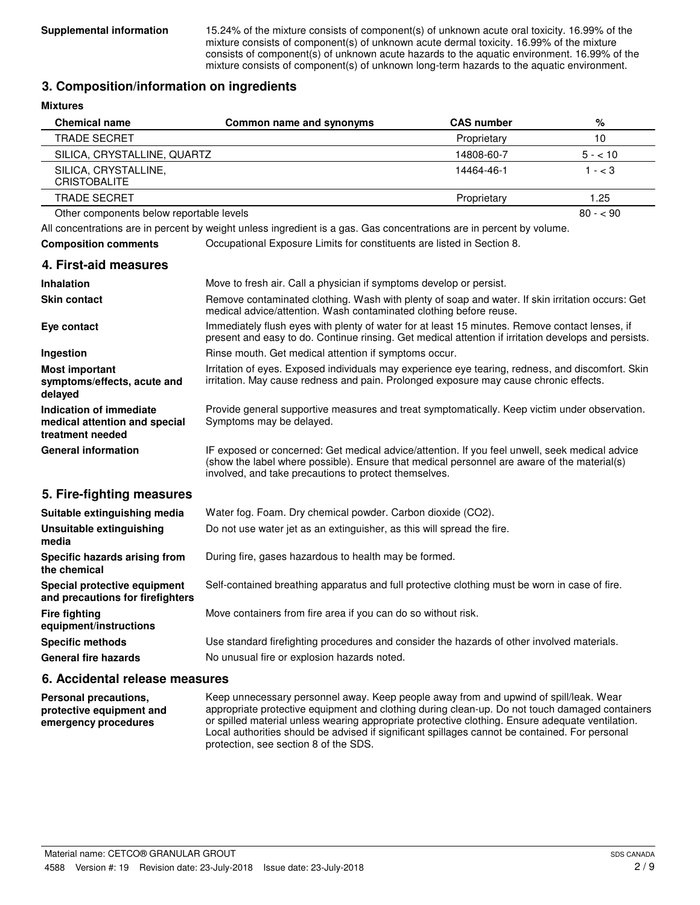**Supplemental information** 15.24% of the mixture consists of component(s) of unknown acute oral toxicity. 16.99% of the mixture consists of component(s) of unknown acute dermal toxicity. 16.99% of the mixture consists of component(s) of unknown acute hazards to the aquatic environment. 16.99% of the mixture consists of component(s) of unknown long-term hazards to the aquatic environment.

### **3. Composition/information on ingredients**

| <b>Mixtures</b>                                                              |                                                                                                                                                                                                                                                        |                   |           |
|------------------------------------------------------------------------------|--------------------------------------------------------------------------------------------------------------------------------------------------------------------------------------------------------------------------------------------------------|-------------------|-----------|
| <b>Chemical name</b>                                                         | Common name and synonyms                                                                                                                                                                                                                               | <b>CAS number</b> | %         |
| <b>TRADE SECRET</b>                                                          |                                                                                                                                                                                                                                                        | Proprietary       | 10        |
| SILICA, CRYSTALLINE, QUARTZ                                                  |                                                                                                                                                                                                                                                        | 14808-60-7        | $5 - 10$  |
| SILICA, CRYSTALLINE,<br><b>CRISTOBALITE</b>                                  |                                                                                                                                                                                                                                                        | 14464-46-1        | $1 - < 3$ |
| <b>TRADE SECRET</b>                                                          |                                                                                                                                                                                                                                                        | Proprietary       | 1.25      |
| Other components below reportable levels                                     |                                                                                                                                                                                                                                                        |                   | $80 - 90$ |
|                                                                              | All concentrations are in percent by weight unless ingredient is a gas. Gas concentrations are in percent by volume.                                                                                                                                   |                   |           |
| <b>Composition comments</b>                                                  | Occupational Exposure Limits for constituents are listed in Section 8.                                                                                                                                                                                 |                   |           |
| 4. First-aid measures                                                        |                                                                                                                                                                                                                                                        |                   |           |
| <b>Inhalation</b>                                                            | Move to fresh air. Call a physician if symptoms develop or persist.                                                                                                                                                                                    |                   |           |
| <b>Skin contact</b>                                                          | Remove contaminated clothing. Wash with plenty of soap and water. If skin irritation occurs: Get<br>medical advice/attention. Wash contaminated clothing before reuse.                                                                                 |                   |           |
| Eye contact                                                                  | Immediately flush eyes with plenty of water for at least 15 minutes. Remove contact lenses, if<br>present and easy to do. Continue rinsing. Get medical attention if irritation develops and persists.                                                 |                   |           |
| Ingestion                                                                    | Rinse mouth. Get medical attention if symptoms occur.                                                                                                                                                                                                  |                   |           |
| <b>Most important</b><br>symptoms/effects, acute and<br>delayed              | Irritation of eyes. Exposed individuals may experience eye tearing, redness, and discomfort. Skin<br>irritation. May cause redness and pain. Prolonged exposure may cause chronic effects.                                                             |                   |           |
| Indication of immediate<br>medical attention and special<br>treatment needed | Provide general supportive measures and treat symptomatically. Keep victim under observation.<br>Symptoms may be delayed.                                                                                                                              |                   |           |
| <b>General information</b>                                                   | IF exposed or concerned: Get medical advice/attention. If you feel unwell, seek medical advice<br>(show the label where possible). Ensure that medical personnel are aware of the material(s)<br>involved, and take precautions to protect themselves. |                   |           |
| 5. Fire-fighting measures                                                    |                                                                                                                                                                                                                                                        |                   |           |
| Suitable extinguishing media                                                 | Water fog. Foam. Dry chemical powder. Carbon dioxide (CO2).                                                                                                                                                                                            |                   |           |
| Unsuitable extinguishing<br>media                                            | Do not use water jet as an extinguisher, as this will spread the fire.                                                                                                                                                                                 |                   |           |
| Specific hazards arising from<br>the chemical                                | During fire, gases hazardous to health may be formed.                                                                                                                                                                                                  |                   |           |
| Special protective equipment<br>and precautions for firefighters             | Self-contained breathing apparatus and full protective clothing must be worn in case of fire.                                                                                                                                                          |                   |           |
| <b>Fire fighting</b><br>equipment/instructions                               | Move containers from fire area if you can do so without risk.                                                                                                                                                                                          |                   |           |
| <b>Specific methods</b>                                                      | Use standard firefighting procedures and consider the hazards of other involved materials.                                                                                                                                                             |                   |           |
| <b>General fire hazards</b>                                                  | No unusual fire or explosion hazards noted.                                                                                                                                                                                                            |                   |           |
| 6. Accidental release measures                                               |                                                                                                                                                                                                                                                        |                   |           |
| Personal precautions,                                                        | Keep unnecessary personnel away. Keep people away from and upwind of spill/leak. Wear                                                                                                                                                                  |                   |           |

appropriate protective equipment and clothing during clean-up. Do not touch damaged containers or spilled material unless wearing appropriate protective clothing. Ensure adequate ventilation. Local authorities should be advised if significant spillages cannot be contained. For personal protection, see section 8 of the SDS. **protective equipment and emergency procedures**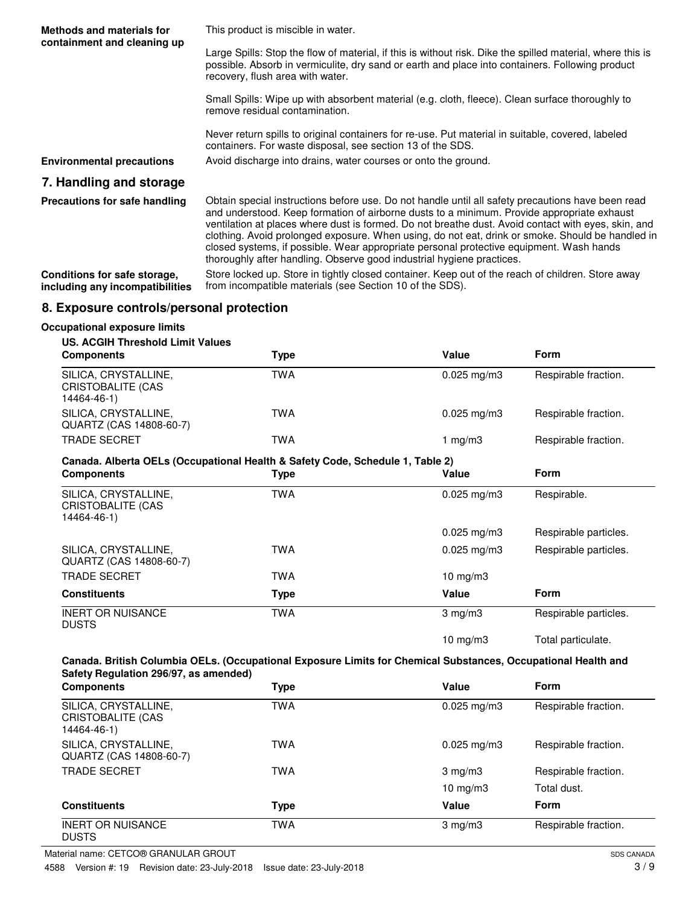| <b>Methods and materials for</b><br>containment and cleaning up | This product is miscible in water.                                                                                                                                                                                                                                                                                                                                                                                                                                                                                                                                             |
|-----------------------------------------------------------------|--------------------------------------------------------------------------------------------------------------------------------------------------------------------------------------------------------------------------------------------------------------------------------------------------------------------------------------------------------------------------------------------------------------------------------------------------------------------------------------------------------------------------------------------------------------------------------|
|                                                                 | Large Spills: Stop the flow of material, if this is without risk. Dike the spilled material, where this is<br>possible. Absorb in vermiculite, dry sand or earth and place into containers. Following product<br>recovery, flush area with water.                                                                                                                                                                                                                                                                                                                              |
|                                                                 | Small Spills: Wipe up with absorbent material (e.g. cloth, fleece). Clean surface thoroughly to<br>remove residual contamination.                                                                                                                                                                                                                                                                                                                                                                                                                                              |
|                                                                 | Never return spills to original containers for re-use. Put material in suitable, covered, labeled<br>containers. For waste disposal, see section 13 of the SDS.                                                                                                                                                                                                                                                                                                                                                                                                                |
| <b>Environmental precautions</b>                                | Avoid discharge into drains, water courses or onto the ground.                                                                                                                                                                                                                                                                                                                                                                                                                                                                                                                 |
| 7. Handling and storage                                         |                                                                                                                                                                                                                                                                                                                                                                                                                                                                                                                                                                                |
| Precautions for safe handling                                   | Obtain special instructions before use. Do not handle until all safety precautions have been read<br>and understood. Keep formation of airborne dusts to a minimum. Provide appropriate exhaust<br>ventilation at places where dust is formed. Do not breathe dust. Avoid contact with eyes, skin, and<br>clothing. Avoid prolonged exposure. When using, do not eat, drink or smoke. Should be handled in<br>closed systems, if possible. Wear appropriate personal protective equipment. Wash hands<br>thoroughly after handling. Observe good industrial hygiene practices. |
| Conditions for safe storage,<br>including any incompatibilities | Store locked up. Store in tightly closed container. Keep out of the reach of children. Store away<br>from incompatible materials (see Section 10 of the SDS).                                                                                                                                                                                                                                                                                                                                                                                                                  |

## **8. Exposure controls/personal protection**

#### **Occupational exposure limits**

#### **US. ACGIH Threshold Limit Values**

| <b>Components</b>                                        | Type | Value                   | <b>Form</b>          |
|----------------------------------------------------------|------|-------------------------|----------------------|
| SILICA, CRYSTALLINE,<br>CRISTOBALITE (CAS<br>14464-46-1) | TWA  | $0.025$ mg/m3           | Respirable fraction. |
| SILICA, CRYSTALLINE,<br>QUARTZ (CAS 14808-60-7)          | TWA  | $0.025 \,\mathrm{mg/m}$ | Respirable fraction. |
| <b>TRADE SECRET</b>                                      | TWA  | 1 mg/m $3$              | Respirable fraction. |

#### **Canada. Alberta OELs (Occupational Health & Safety Code, Schedule 1, Table 2)**

| <b>Components</b>                                        | Type       | Value             | <b>Form</b>           |
|----------------------------------------------------------|------------|-------------------|-----------------------|
| SILICA, CRYSTALLINE,<br>CRISTOBALITE (CAS<br>14464-46-1) | TWA        | $0.025$ mg/m $3$  | Respirable.           |
|                                                          |            | $0.025$ mg/m $3$  | Respirable particles. |
| SILICA, CRYSTALLINE,<br>QUARTZ (CAS 14808-60-7)          | TWA        | $0.025$ mg/m3     | Respirable particles. |
| <b>TRADE SECRET</b>                                      | <b>TWA</b> | $10 \text{ mg/m}$ |                       |
| <b>Constituents</b>                                      | Type       | Value             | <b>Form</b>           |
| <b>INERT OR NUISANCE</b><br><b>DUSTS</b>                 | <b>TWA</b> | $3$ mg/m $3$      | Respirable particles. |
|                                                          |            | $10 \text{ mg/m}$ | Total particulate.    |

#### **Canada. British Columbia OELs. (Occupational Exposure Limits for Chemical Substances, Occupational Health and Safety Regulation 296/97, as amended)**

| <b>Components</b>                                        | Type       | Value                   | <b>Form</b>          |
|----------------------------------------------------------|------------|-------------------------|----------------------|
| SILICA, CRYSTALLINE,<br>CRISTOBALITE (CAS<br>14464-46-1) | <b>TWA</b> | $0.025 \,\mathrm{mg/m}$ | Respirable fraction. |
| SILICA, CRYSTALLINE,<br>QUARTZ (CAS 14808-60-7)          | TWA        | $0.025 \,\mathrm{mg/m}$ | Respirable fraction. |
| <b>TRADE SECRET</b>                                      | TWA        | $3 \text{ mg/m}$        | Respirable fraction. |
|                                                          |            | $10 \text{ mg/m}$       | Total dust.          |
| <b>Constituents</b>                                      | Type       | Value                   | <b>Form</b>          |
| <b>INERT OR NUISANCE</b><br><b>DUSTS</b>                 | <b>TWA</b> | $3 \text{ mg/m}$        | Respirable fraction. |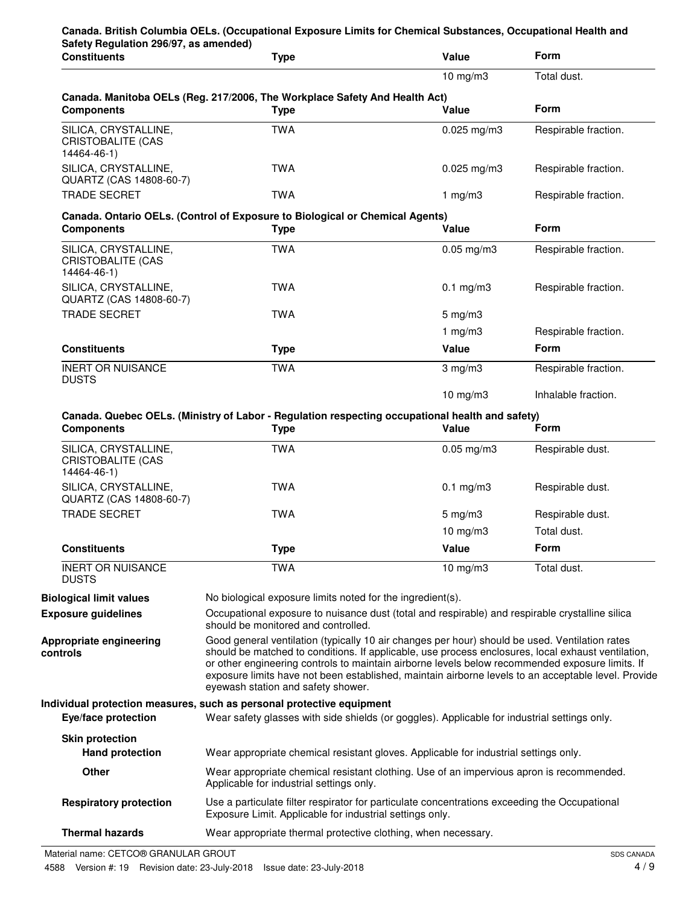| Safety Regulation 296/97, as amended)<br><b>Constituents</b>    | <b>Type</b>                                                                                                                  | Value                                                                                                                                                                                                                                                                                                                                                                                                          | <b>Form</b>                     |  |
|-----------------------------------------------------------------|------------------------------------------------------------------------------------------------------------------------------|----------------------------------------------------------------------------------------------------------------------------------------------------------------------------------------------------------------------------------------------------------------------------------------------------------------------------------------------------------------------------------------------------------------|---------------------------------|--|
|                                                                 |                                                                                                                              | $10 \text{ mg/m}$ 3                                                                                                                                                                                                                                                                                                                                                                                            | Total dust.                     |  |
| <b>Components</b>                                               | Canada. Manitoba OELs (Reg. 217/2006, The Workplace Safety And Health Act)<br><b>Type</b>                                    | Value                                                                                                                                                                                                                                                                                                                                                                                                          | <b>Form</b>                     |  |
| SILICA, CRYSTALLINE,<br><b>CRISTOBALITE (CAS</b><br>14464-46-1) | <b>TWA</b>                                                                                                                   | $0.025$ mg/m3                                                                                                                                                                                                                                                                                                                                                                                                  | Respirable fraction.            |  |
| SILICA, CRYSTALLINE,<br>QUARTZ (CAS 14808-60-7)                 | <b>TWA</b>                                                                                                                   | $0.025$ mg/m3                                                                                                                                                                                                                                                                                                                                                                                                  | Respirable fraction.            |  |
| <b>TRADE SECRET</b>                                             | <b>TWA</b>                                                                                                                   | 1 $mg/m3$                                                                                                                                                                                                                                                                                                                                                                                                      | Respirable fraction.            |  |
| <b>Components</b>                                               | Canada. Ontario OELs. (Control of Exposure to Biological or Chemical Agents)<br><b>Type</b>                                  | Value                                                                                                                                                                                                                                                                                                                                                                                                          | Form                            |  |
| SILICA, CRYSTALLINE,<br><b>CRISTOBALITE (CAS</b><br>14464-46-1) | <b>TWA</b>                                                                                                                   | $0.05$ mg/m $3$                                                                                                                                                                                                                                                                                                                                                                                                | Respirable fraction.            |  |
| SILICA, CRYSTALLINE,<br>QUARTZ (CAS 14808-60-7)                 | <b>TWA</b>                                                                                                                   | $0.1$ mg/m $3$                                                                                                                                                                                                                                                                                                                                                                                                 | Respirable fraction.            |  |
| <b>TRADE SECRET</b>                                             | <b>TWA</b>                                                                                                                   | $5 \text{ mg/m}$ 3                                                                                                                                                                                                                                                                                                                                                                                             |                                 |  |
|                                                                 |                                                                                                                              | 1 $mg/m3$                                                                                                                                                                                                                                                                                                                                                                                                      | Respirable fraction.            |  |
| <b>Constituents</b>                                             | <b>Type</b>                                                                                                                  | Value                                                                                                                                                                                                                                                                                                                                                                                                          | <b>Form</b>                     |  |
| <b>INERT OR NUISANCE</b><br><b>DUSTS</b>                        | <b>TWA</b>                                                                                                                   | $3$ mg/m $3$                                                                                                                                                                                                                                                                                                                                                                                                   | Respirable fraction.            |  |
|                                                                 |                                                                                                                              | $10$ mg/m $3$                                                                                                                                                                                                                                                                                                                                                                                                  | Inhalable fraction.             |  |
| <b>Components</b><br>SILICA, CRYSTALLINE,                       | Canada. Quebec OELs. (Ministry of Labor - Regulation respecting occupational health and safety)<br><b>Type</b><br><b>TWA</b> | Value<br>$0.05$ mg/m3                                                                                                                                                                                                                                                                                                                                                                                          | <b>Form</b><br>Respirable dust. |  |
| <b>CRISTOBALITE (CAS</b><br>14464-46-1)                         |                                                                                                                              |                                                                                                                                                                                                                                                                                                                                                                                                                |                                 |  |
| SILICA, CRYSTALLINE,<br>QUARTZ (CAS 14808-60-7)                 | <b>TWA</b>                                                                                                                   | $0.1$ mg/m $3$                                                                                                                                                                                                                                                                                                                                                                                                 | Respirable dust.                |  |
| <b>TRADE SECRET</b>                                             | <b>TWA</b>                                                                                                                   | $5 \text{ mg/m}$ 3                                                                                                                                                                                                                                                                                                                                                                                             | Respirable dust.                |  |
|                                                                 |                                                                                                                              | $10 \text{ mg/m}$                                                                                                                                                                                                                                                                                                                                                                                              | Total dust.                     |  |
| <b>Constituents</b>                                             | <b>Type</b>                                                                                                                  | Value                                                                                                                                                                                                                                                                                                                                                                                                          | Form                            |  |
| <b>INERT OR NUISANCE</b><br><b>DUSTS</b>                        | <b>TWA</b>                                                                                                                   | 10 mg/m3                                                                                                                                                                                                                                                                                                                                                                                                       | Total dust.                     |  |
| <b>Biological limit values</b>                                  | No biological exposure limits noted for the ingredient(s).                                                                   |                                                                                                                                                                                                                                                                                                                                                                                                                |                                 |  |
| <b>Exposure guidelines</b>                                      | should be monitored and controlled.                                                                                          | Occupational exposure to nuisance dust (total and respirable) and respirable crystalline silica                                                                                                                                                                                                                                                                                                                |                                 |  |
| Appropriate engineering<br>controls                             | eyewash station and safety shower.                                                                                           | Good general ventilation (typically 10 air changes per hour) should be used. Ventilation rates<br>should be matched to conditions. If applicable, use process enclosures, local exhaust ventilation,<br>or other engineering controls to maintain airborne levels below recommended exposure limits. If<br>exposure limits have not been established, maintain airborne levels to an acceptable level. Provide |                                 |  |
| Eye/face protection                                             | Individual protection measures, such as personal protective equipment                                                        | Wear safety glasses with side shields (or goggles). Applicable for industrial settings only.                                                                                                                                                                                                                                                                                                                   |                                 |  |
| <b>Skin protection</b><br><b>Hand protection</b>                |                                                                                                                              |                                                                                                                                                                                                                                                                                                                                                                                                                |                                 |  |
| Other                                                           | Applicable for industrial settings only.                                                                                     | Wear appropriate chemical resistant gloves. Applicable for industrial settings only.<br>Wear appropriate chemical resistant clothing. Use of an impervious apron is recommended.                                                                                                                                                                                                                               |                                 |  |
| <b>Respiratory protection</b>                                   | Exposure Limit. Applicable for industrial settings only.                                                                     | Use a particulate filter respirator for particulate concentrations exceeding the Occupational                                                                                                                                                                                                                                                                                                                  |                                 |  |
| <b>Thermal hazards</b>                                          | Wear appropriate thermal protective clothing, when necessary.                                                                |                                                                                                                                                                                                                                                                                                                                                                                                                |                                 |  |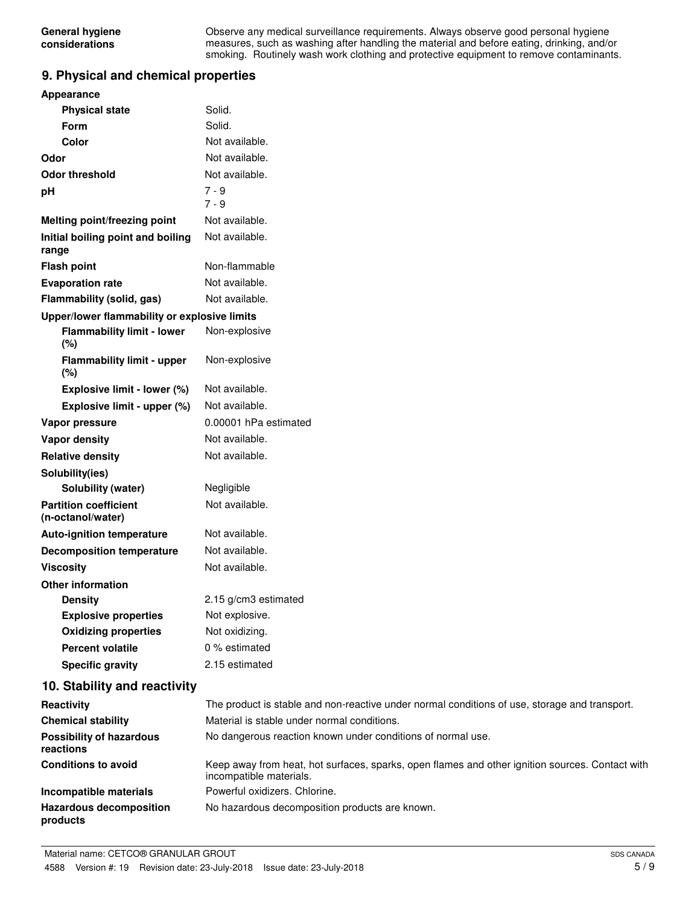Observe any medical surveillance requirements. Always observe good personal hygiene measures, such as washing after handling the material and before eating, drinking, and/or smoking. Routinely wash work clothing and protective equipment to remove contaminants.

### **9. Physical and chemical properties**

| <b>Appearance</b>                                 |                                                                                                                            |
|---------------------------------------------------|----------------------------------------------------------------------------------------------------------------------------|
| <b>Physical state</b>                             | Solid.                                                                                                                     |
| <b>Form</b>                                       | Solid.                                                                                                                     |
| Color                                             | Not available.                                                                                                             |
| Odor                                              | Not available.                                                                                                             |
| <b>Odor threshold</b>                             | Not available.                                                                                                             |
| рH                                                | $7 - 9$<br>$7 - 9$                                                                                                         |
| Melting point/freezing point                      | Not available.                                                                                                             |
| Initial boiling point and boiling<br>range        | Not available.                                                                                                             |
| <b>Flash point</b>                                | Non-flammable                                                                                                              |
| <b>Evaporation rate</b>                           | Not available.                                                                                                             |
| Flammability (solid, gas)                         | Not available.                                                                                                             |
| Upper/lower flammability or explosive limits      |                                                                                                                            |
| <b>Flammability limit - lower</b><br>(%)          | Non-explosive                                                                                                              |
| <b>Flammability limit - upper</b><br>$(\%)$       | Non-explosive                                                                                                              |
| Explosive limit - lower (%)                       | Not available.                                                                                                             |
| Explosive limit - upper (%)                       | Not available.                                                                                                             |
| Vapor pressure                                    | 0.00001 hPa estimated                                                                                                      |
| <b>Vapor density</b>                              | Not available.                                                                                                             |
| <b>Relative density</b>                           | Not available.                                                                                                             |
| Solubility(ies)                                   |                                                                                                                            |
| Solubility (water)                                | Negligible                                                                                                                 |
| <b>Partition coefficient</b><br>(n-octanol/water) | Not available.                                                                                                             |
| <b>Auto-ignition temperature</b>                  | Not available.                                                                                                             |
| <b>Decomposition temperature</b>                  | Not available.                                                                                                             |
| <b>Viscosity</b>                                  | Not available.                                                                                                             |
| <b>Other information</b>                          |                                                                                                                            |
| <b>Density</b>                                    | 2.15 g/cm3 estimated                                                                                                       |
| <b>Explosive properties</b>                       | Not explosive.                                                                                                             |
| <b>Oxidizing properties</b>                       | Not oxidizing.                                                                                                             |
| <b>Percent volatile</b>                           | 0 % estimated                                                                                                              |
| <b>Specific gravity</b>                           | 2.15 estimated                                                                                                             |
| 10. Stability and reactivity                      |                                                                                                                            |
| Reactivity                                        | The product is stable and non-reactive under normal conditions of use, storage and transport.                              |
| <b>Chemical stability</b>                         | Material is stable under normal conditions.                                                                                |
| <b>Possibility of hazardous</b><br>reactions      | No dangerous reaction known under conditions of normal use.                                                                |
| <b>Conditions to avoid</b>                        | Keep away from heat, hot surfaces, sparks, open flames and other ignition sources. Contact with<br>incompatible materials. |
| Incompatible materials                            | Powerful oxidizers. Chlorine.                                                                                              |
| <b>Hazardous decomposition</b><br>products        | No hazardous decomposition products are known.                                                                             |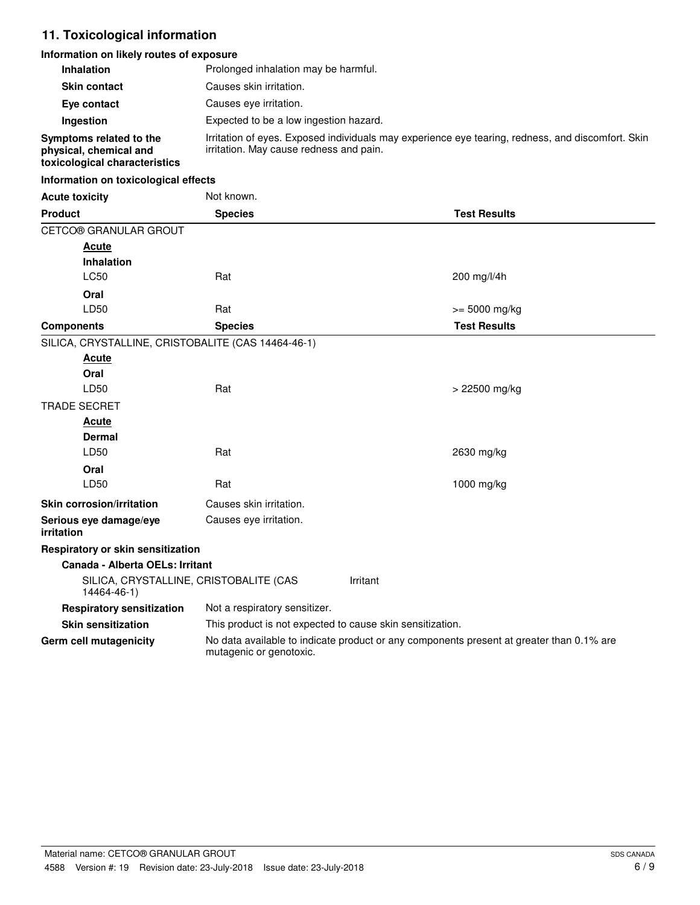# **11. Toxicological information**

## **Information on likely routes of exposure**

| Inhalation                                                                         | Prolonged inhalation may be harmful.                                                                                                         |                                                           |  |  |
|------------------------------------------------------------------------------------|----------------------------------------------------------------------------------------------------------------------------------------------|-----------------------------------------------------------|--|--|
| <b>Skin contact</b>                                                                | Causes skin irritation.                                                                                                                      |                                                           |  |  |
| Eye contact                                                                        | Causes eye irritation.                                                                                                                       |                                                           |  |  |
| Ingestion                                                                          |                                                                                                                                              | Expected to be a low ingestion hazard.                    |  |  |
| Symptoms related to the<br>physical, chemical and<br>toxicological characteristics | Irritation of eyes. Exposed individuals may experience eye tearing, redness, and discomfort. Skin<br>irritation. May cause redness and pain. |                                                           |  |  |
| Information on toxicological effects                                               |                                                                                                                                              |                                                           |  |  |
| <b>Acute toxicity</b>                                                              | Not known.                                                                                                                                   |                                                           |  |  |
| <b>Product</b>                                                                     | <b>Species</b>                                                                                                                               | <b>Test Results</b>                                       |  |  |
| CETCO® GRANULAR GROUT                                                              |                                                                                                                                              |                                                           |  |  |
| <u>Acute</u>                                                                       |                                                                                                                                              |                                                           |  |  |
| Inhalation                                                                         |                                                                                                                                              |                                                           |  |  |
| LC50                                                                               | Rat                                                                                                                                          | 200 mg/l/4h                                               |  |  |
| Oral                                                                               |                                                                                                                                              |                                                           |  |  |
| LD50                                                                               | Rat                                                                                                                                          | $>= 5000$ mg/kg                                           |  |  |
| <b>Components</b>                                                                  | <b>Species</b>                                                                                                                               | <b>Test Results</b>                                       |  |  |
| SILICA, CRYSTALLINE, CRISTOBALITE (CAS 14464-46-1)                                 |                                                                                                                                              |                                                           |  |  |
| <b>Acute</b>                                                                       |                                                                                                                                              |                                                           |  |  |
| Oral                                                                               |                                                                                                                                              |                                                           |  |  |
| LD50                                                                               | Rat                                                                                                                                          | > 22500 mg/kg                                             |  |  |
| <b>TRADE SECRET</b>                                                                |                                                                                                                                              |                                                           |  |  |
| <b>Acute</b>                                                                       |                                                                                                                                              |                                                           |  |  |
| Dermal                                                                             |                                                                                                                                              |                                                           |  |  |
| LD50                                                                               | Rat                                                                                                                                          | 2630 mg/kg                                                |  |  |
| Oral                                                                               |                                                                                                                                              |                                                           |  |  |
| LD50                                                                               | Rat                                                                                                                                          | 1000 mg/kg                                                |  |  |
| <b>Skin corrosion/irritation</b>                                                   | Causes skin irritation.                                                                                                                      |                                                           |  |  |
| Serious eye damage/eye<br>irritation                                               | Causes eye irritation.                                                                                                                       |                                                           |  |  |
| Respiratory or skin sensitization                                                  |                                                                                                                                              |                                                           |  |  |
| Canada - Alberta OELs: Irritant                                                    |                                                                                                                                              |                                                           |  |  |
| SILICA, CRYSTALLINE, CRISTOBALITE (CAS<br>14464-46-1)                              |                                                                                                                                              | Irritant                                                  |  |  |
| <b>Respiratory sensitization</b>                                                   | Not a respiratory sensitizer.                                                                                                                |                                                           |  |  |
| <b>Skin sensitization</b>                                                          |                                                                                                                                              | This product is not expected to cause skin sensitization. |  |  |
| Germ cell mutagenicity                                                             | No data available to indicate product or any components present at greater than 0.1% are<br>mutagenic or genotoxic.                          |                                                           |  |  |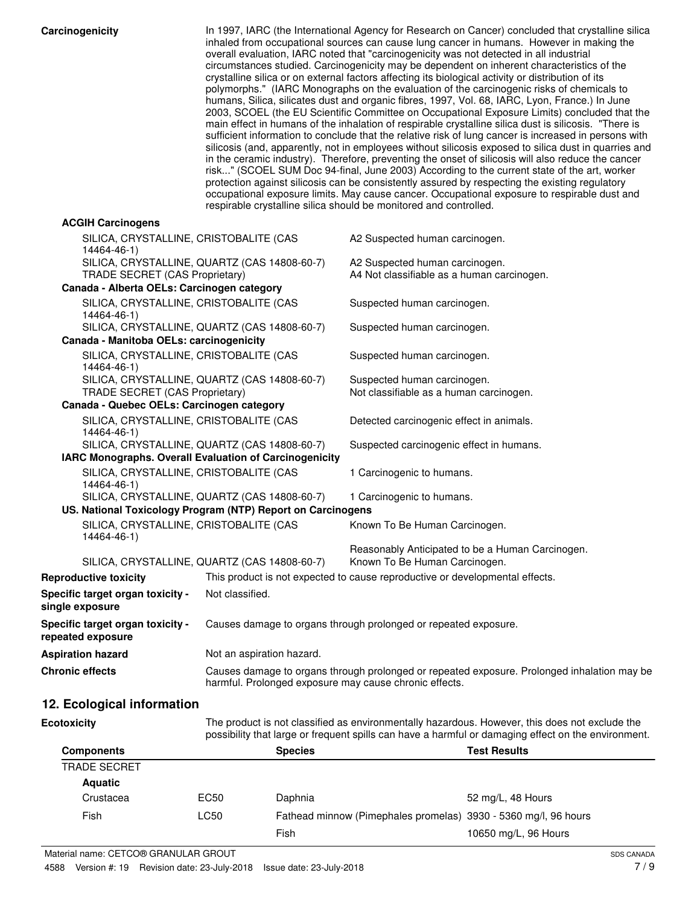| Carcinogenicity                                                             |                                                             | In 1997, IARC (the International Agency for Research on Cancer) concluded that crystalline silica<br>inhaled from occupational sources can cause lung cancer in humans. However in making the<br>overall evaluation, IARC noted that "carcinogenicity was not detected in all industrial<br>circumstances studied. Carcinogenicity may be dependent on inherent characteristics of the<br>crystalline silica or on external factors affecting its biological activity or distribution of its<br>polymorphs." (IARC Monographs on the evaluation of the carcinogenic risks of chemicals to<br>humans, Silica, silicates dust and organic fibres, 1997, Vol. 68, IARC, Lyon, France.) In June<br>2003, SCOEL (the EU Scientific Committee on Occupational Exposure Limits) concluded that the<br>main effect in humans of the inhalation of respirable crystalline silica dust is silicosis. "There is<br>sufficient information to conclude that the relative risk of lung cancer is increased in persons with<br>silicosis (and, apparently, not in employees without silicosis exposed to silica dust in quarries and<br>in the ceramic industry). Therefore, preventing the onset of silicosis will also reduce the cancer<br>risk" (SCOEL SUM Doc 94-final, June 2003) According to the current state of the art, worker<br>protection against silicosis can be consistently assured by respecting the existing regulatory<br>occupational exposure limits. May cause cancer. Occupational exposure to respirable dust and<br>respirable crystalline silica should be monitored and controlled. |
|-----------------------------------------------------------------------------|-------------------------------------------------------------|----------------------------------------------------------------------------------------------------------------------------------------------------------------------------------------------------------------------------------------------------------------------------------------------------------------------------------------------------------------------------------------------------------------------------------------------------------------------------------------------------------------------------------------------------------------------------------------------------------------------------------------------------------------------------------------------------------------------------------------------------------------------------------------------------------------------------------------------------------------------------------------------------------------------------------------------------------------------------------------------------------------------------------------------------------------------------------------------------------------------------------------------------------------------------------------------------------------------------------------------------------------------------------------------------------------------------------------------------------------------------------------------------------------------------------------------------------------------------------------------------------------------------------------------------------------------------------------------------|
| <b>ACGIH Carcinogens</b>                                                    |                                                             |                                                                                                                                                                                                                                                                                                                                                                                                                                                                                                                                                                                                                                                                                                                                                                                                                                                                                                                                                                                                                                                                                                                                                                                                                                                                                                                                                                                                                                                                                                                                                                                                    |
| SILICA, CRYSTALLINE, CRISTOBALITE (CAS<br>14464-46-1)                       |                                                             | A2 Suspected human carcinogen.                                                                                                                                                                                                                                                                                                                                                                                                                                                                                                                                                                                                                                                                                                                                                                                                                                                                                                                                                                                                                                                                                                                                                                                                                                                                                                                                                                                                                                                                                                                                                                     |
|                                                                             | SILICA, CRYSTALLINE, QUARTZ (CAS 14808-60-7)                | A2 Suspected human carcinogen.                                                                                                                                                                                                                                                                                                                                                                                                                                                                                                                                                                                                                                                                                                                                                                                                                                                                                                                                                                                                                                                                                                                                                                                                                                                                                                                                                                                                                                                                                                                                                                     |
| TRADE SECRET (CAS Proprietary)                                              |                                                             | A4 Not classifiable as a human carcinogen.                                                                                                                                                                                                                                                                                                                                                                                                                                                                                                                                                                                                                                                                                                                                                                                                                                                                                                                                                                                                                                                                                                                                                                                                                                                                                                                                                                                                                                                                                                                                                         |
| Canada - Alberta OELs: Carcinogen category                                  |                                                             |                                                                                                                                                                                                                                                                                                                                                                                                                                                                                                                                                                                                                                                                                                                                                                                                                                                                                                                                                                                                                                                                                                                                                                                                                                                                                                                                                                                                                                                                                                                                                                                                    |
| SILICA, CRYSTALLINE, CRISTOBALITE (CAS<br>14464-46-1)                       |                                                             | Suspected human carcinogen.                                                                                                                                                                                                                                                                                                                                                                                                                                                                                                                                                                                                                                                                                                                                                                                                                                                                                                                                                                                                                                                                                                                                                                                                                                                                                                                                                                                                                                                                                                                                                                        |
|                                                                             | SILICA, CRYSTALLINE, QUARTZ (CAS 14808-60-7)                | Suspected human carcinogen.                                                                                                                                                                                                                                                                                                                                                                                                                                                                                                                                                                                                                                                                                                                                                                                                                                                                                                                                                                                                                                                                                                                                                                                                                                                                                                                                                                                                                                                                                                                                                                        |
| Canada - Manitoba OELs: carcinogenicity                                     |                                                             |                                                                                                                                                                                                                                                                                                                                                                                                                                                                                                                                                                                                                                                                                                                                                                                                                                                                                                                                                                                                                                                                                                                                                                                                                                                                                                                                                                                                                                                                                                                                                                                                    |
| SILICA, CRYSTALLINE, CRISTOBALITE (CAS<br>14464-46-1)                       |                                                             | Suspected human carcinogen.                                                                                                                                                                                                                                                                                                                                                                                                                                                                                                                                                                                                                                                                                                                                                                                                                                                                                                                                                                                                                                                                                                                                                                                                                                                                                                                                                                                                                                                                                                                                                                        |
|                                                                             | SILICA, CRYSTALLINE, QUARTZ (CAS 14808-60-7)                | Suspected human carcinogen.                                                                                                                                                                                                                                                                                                                                                                                                                                                                                                                                                                                                                                                                                                                                                                                                                                                                                                                                                                                                                                                                                                                                                                                                                                                                                                                                                                                                                                                                                                                                                                        |
| TRADE SECRET (CAS Proprietary)<br>Canada - Quebec OELs: Carcinogen category |                                                             | Not classifiable as a human carcinogen.                                                                                                                                                                                                                                                                                                                                                                                                                                                                                                                                                                                                                                                                                                                                                                                                                                                                                                                                                                                                                                                                                                                                                                                                                                                                                                                                                                                                                                                                                                                                                            |
| SILICA, CRYSTALLINE, CRISTOBALITE (CAS                                      |                                                             |                                                                                                                                                                                                                                                                                                                                                                                                                                                                                                                                                                                                                                                                                                                                                                                                                                                                                                                                                                                                                                                                                                                                                                                                                                                                                                                                                                                                                                                                                                                                                                                                    |
| 14464-46-1)                                                                 | SILICA, CRYSTALLINE, QUARTZ (CAS 14808-60-7)                | Detected carcinogenic effect in animals.<br>Suspected carcinogenic effect in humans.                                                                                                                                                                                                                                                                                                                                                                                                                                                                                                                                                                                                                                                                                                                                                                                                                                                                                                                                                                                                                                                                                                                                                                                                                                                                                                                                                                                                                                                                                                               |
|                                                                             | IARC Monographs. Overall Evaluation of Carcinogenicity      |                                                                                                                                                                                                                                                                                                                                                                                                                                                                                                                                                                                                                                                                                                                                                                                                                                                                                                                                                                                                                                                                                                                                                                                                                                                                                                                                                                                                                                                                                                                                                                                                    |
| SILICA, CRYSTALLINE, CRISTOBALITE (CAS<br>14464-46-1)                       |                                                             | 1 Carcinogenic to humans.                                                                                                                                                                                                                                                                                                                                                                                                                                                                                                                                                                                                                                                                                                                                                                                                                                                                                                                                                                                                                                                                                                                                                                                                                                                                                                                                                                                                                                                                                                                                                                          |
|                                                                             | SILICA, CRYSTALLINE, QUARTZ (CAS 14808-60-7)                | 1 Carcinogenic to humans.                                                                                                                                                                                                                                                                                                                                                                                                                                                                                                                                                                                                                                                                                                                                                                                                                                                                                                                                                                                                                                                                                                                                                                                                                                                                                                                                                                                                                                                                                                                                                                          |
|                                                                             | US. National Toxicology Program (NTP) Report on Carcinogens |                                                                                                                                                                                                                                                                                                                                                                                                                                                                                                                                                                                                                                                                                                                                                                                                                                                                                                                                                                                                                                                                                                                                                                                                                                                                                                                                                                                                                                                                                                                                                                                                    |
| SILICA, CRYSTALLINE, CRISTOBALITE (CAS<br>14464-46-1)                       |                                                             | Known To Be Human Carcinogen.                                                                                                                                                                                                                                                                                                                                                                                                                                                                                                                                                                                                                                                                                                                                                                                                                                                                                                                                                                                                                                                                                                                                                                                                                                                                                                                                                                                                                                                                                                                                                                      |
|                                                                             | SILICA, CRYSTALLINE, QUARTZ (CAS 14808-60-7)                | Reasonably Anticipated to be a Human Carcinogen.<br>Known To Be Human Carcinogen.                                                                                                                                                                                                                                                                                                                                                                                                                                                                                                                                                                                                                                                                                                                                                                                                                                                                                                                                                                                                                                                                                                                                                                                                                                                                                                                                                                                                                                                                                                                  |
| <b>Reproductive toxicity</b>                                                |                                                             | This product is not expected to cause reproductive or developmental effects.                                                                                                                                                                                                                                                                                                                                                                                                                                                                                                                                                                                                                                                                                                                                                                                                                                                                                                                                                                                                                                                                                                                                                                                                                                                                                                                                                                                                                                                                                                                       |
| Specific target organ toxicity -                                            | Not classified.                                             |                                                                                                                                                                                                                                                                                                                                                                                                                                                                                                                                                                                                                                                                                                                                                                                                                                                                                                                                                                                                                                                                                                                                                                                                                                                                                                                                                                                                                                                                                                                                                                                                    |
| single exposure                                                             |                                                             |                                                                                                                                                                                                                                                                                                                                                                                                                                                                                                                                                                                                                                                                                                                                                                                                                                                                                                                                                                                                                                                                                                                                                                                                                                                                                                                                                                                                                                                                                                                                                                                                    |
| Specific target organ toxicity -<br>repeated exposure                       |                                                             | Causes damage to organs through prolonged or repeated exposure.                                                                                                                                                                                                                                                                                                                                                                                                                                                                                                                                                                                                                                                                                                                                                                                                                                                                                                                                                                                                                                                                                                                                                                                                                                                                                                                                                                                                                                                                                                                                    |
| <b>Aspiration hazard</b>                                                    | Not an aspiration hazard.                                   |                                                                                                                                                                                                                                                                                                                                                                                                                                                                                                                                                                                                                                                                                                                                                                                                                                                                                                                                                                                                                                                                                                                                                                                                                                                                                                                                                                                                                                                                                                                                                                                                    |
| <b>Chronic effects</b>                                                      | harmful. Prolonged exposure may cause chronic effects.      | Causes damage to organs through prolonged or repeated exposure. Prolonged inhalation may be                                                                                                                                                                                                                                                                                                                                                                                                                                                                                                                                                                                                                                                                                                                                                                                                                                                                                                                                                                                                                                                                                                                                                                                                                                                                                                                                                                                                                                                                                                        |

# **12. Ecological information**

| <b>Ecotoxicity</b>  |      |                                                                 | The product is not classified as environmentally hazardous. However, this does not exclude the<br>possibility that large or frequent spills can have a harmful or damaging effect on the environment. |  |
|---------------------|------|-----------------------------------------------------------------|-------------------------------------------------------------------------------------------------------------------------------------------------------------------------------------------------------|--|
| <b>Components</b>   |      | <b>Species</b>                                                  | <b>Test Results</b>                                                                                                                                                                                   |  |
| <b>TRADE SECRET</b> |      |                                                                 |                                                                                                                                                                                                       |  |
| <b>Aquatic</b>      |      |                                                                 |                                                                                                                                                                                                       |  |
| Crustacea           | EC50 | Daphnia                                                         | 52 mg/L, 48 Hours                                                                                                                                                                                     |  |
| Fish                | LC50 | Fathead minnow (Pimephales promelas) 3930 - 5360 mg/l, 96 hours |                                                                                                                                                                                                       |  |
|                     |      | Fish                                                            | 10650 mg/L, 96 Hours                                                                                                                                                                                  |  |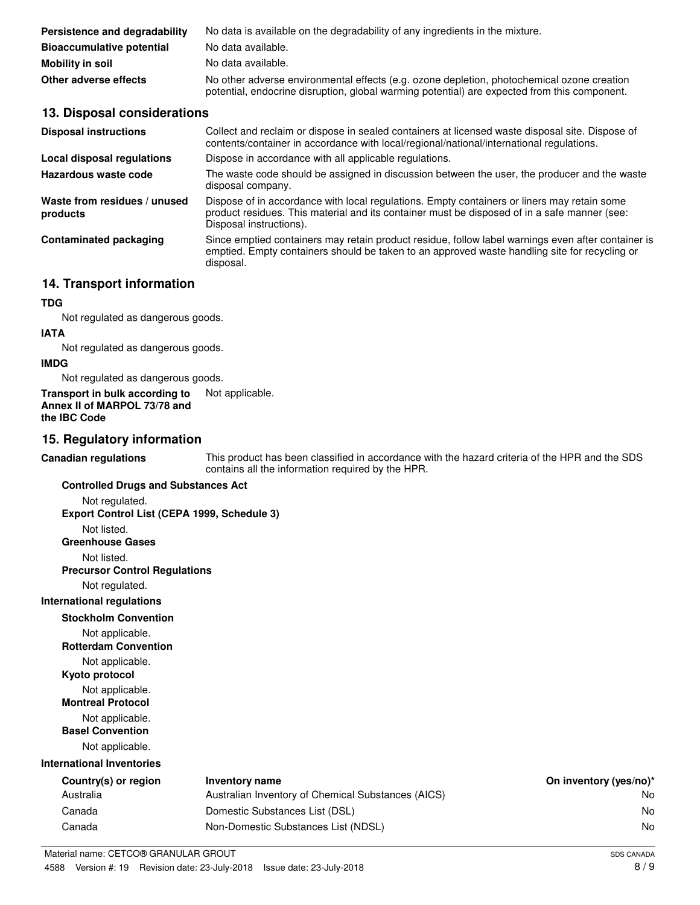| Persistence and degradability    | No data is available on the degradability of any ingredients in the mixture.                                                                                                               |
|----------------------------------|--------------------------------------------------------------------------------------------------------------------------------------------------------------------------------------------|
| <b>Bioaccumulative potential</b> | No data available.                                                                                                                                                                         |
| <b>Mobility in soil</b>          | No data available.                                                                                                                                                                         |
| Other adverse effects            | No other adverse environmental effects (e.g. ozone depletion, photochemical ozone creation<br>potential, endocrine disruption, global warming potential) are expected from this component. |

## **13. Disposal considerations**

| <b>Disposal instructions</b>             | Collect and reclaim or dispose in sealed containers at licensed waste disposal site. Dispose of<br>contents/container in accordance with local/regional/national/international regulations.                            |
|------------------------------------------|------------------------------------------------------------------------------------------------------------------------------------------------------------------------------------------------------------------------|
| Local disposal regulations               | Dispose in accordance with all applicable regulations.                                                                                                                                                                 |
| Hazardous waste code                     | The waste code should be assigned in discussion between the user, the producer and the waste<br>disposal company.                                                                                                      |
| Waste from residues / unused<br>products | Dispose of in accordance with local regulations. Empty containers or liners may retain some<br>product residues. This material and its container must be disposed of in a safe manner (see:<br>Disposal instructions). |
| <b>Contaminated packaging</b>            | Since emptied containers may retain product residue, follow label warnings even after container is<br>emptied. Empty containers should be taken to an approved waste handling site for recycling or<br>disposal.       |

# **14. Transport information**

## **TDG**

Not regulated as dangerous goods.

# **IATA**

Not regulated as dangerous goods.

#### **IMDG**

Not regulated as dangerous goods.

# **Transport in bulk according to** Not applicable. **Annex II of MARPOL 73/78 and**

**the IBC Code**

# **15. Regulatory information**

| <b>Canadian regulations</b>                 | This product has been classified in accordance with the hazard criteria of the HPR and the SDS<br>contains all the information required by the HPR. |                        |
|---------------------------------------------|-----------------------------------------------------------------------------------------------------------------------------------------------------|------------------------|
| <b>Controlled Drugs and Substances Act</b>  |                                                                                                                                                     |                        |
| Not regulated.                              |                                                                                                                                                     |                        |
| Export Control List (CEPA 1999, Schedule 3) |                                                                                                                                                     |                        |
| Not listed.                                 |                                                                                                                                                     |                        |
| <b>Greenhouse Gases</b>                     |                                                                                                                                                     |                        |
| Not listed.                                 |                                                                                                                                                     |                        |
| <b>Precursor Control Regulations</b>        |                                                                                                                                                     |                        |
| Not regulated.                              |                                                                                                                                                     |                        |
| <b>International regulations</b>            |                                                                                                                                                     |                        |
| <b>Stockholm Convention</b>                 |                                                                                                                                                     |                        |
| Not applicable.                             |                                                                                                                                                     |                        |
| <b>Rotterdam Convention</b>                 |                                                                                                                                                     |                        |
| Not applicable.                             |                                                                                                                                                     |                        |
| Kyoto protocol                              |                                                                                                                                                     |                        |
| Not applicable.                             |                                                                                                                                                     |                        |
| <b>Montreal Protocol</b>                    |                                                                                                                                                     |                        |
| Not applicable.                             |                                                                                                                                                     |                        |
| <b>Basel Convention</b>                     |                                                                                                                                                     |                        |
| Not applicable.                             |                                                                                                                                                     |                        |
| International Inventories                   |                                                                                                                                                     |                        |
| Country(s) or region                        | <b>Inventory name</b>                                                                                                                               | On inventory (yes/no)* |
| Australia                                   | Australian Inventory of Chemical Substances (AICS)                                                                                                  | No                     |
| Canada                                      | Domestic Substances List (DSL)                                                                                                                      | No                     |
| Canada                                      | Non-Domestic Substances List (NDSL)                                                                                                                 | No                     |
| Material name: CETCO® GRANULAR GROUT        |                                                                                                                                                     | <b>SDS CANADA</b>      |